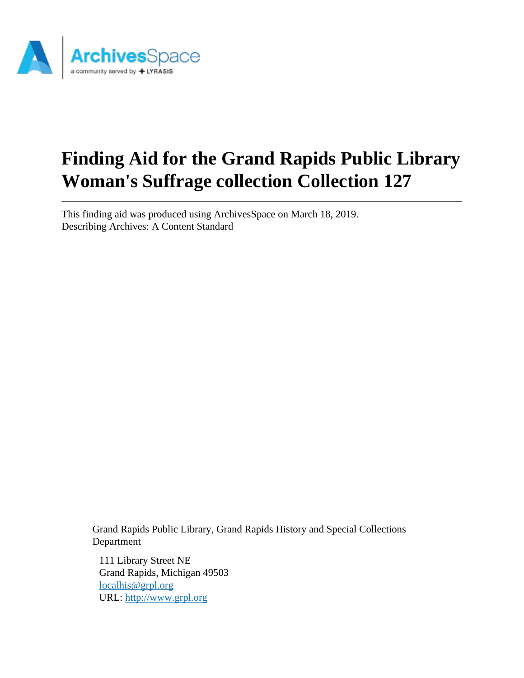

# **Finding Aid for the Grand Rapids Public Library Woman's Suffrage collection Collection 127**

This finding aid was produced using ArchivesSpace on March 18, 2019. Describing Archives: A Content Standard

> Grand Rapids Public Library, Grand Rapids History and Special Collections Department

111 Library Street NE Grand Rapids, Michigan 49503 [localhis@grpl.org](mailto:localhis@grpl.org) URL:<http://www.grpl.org>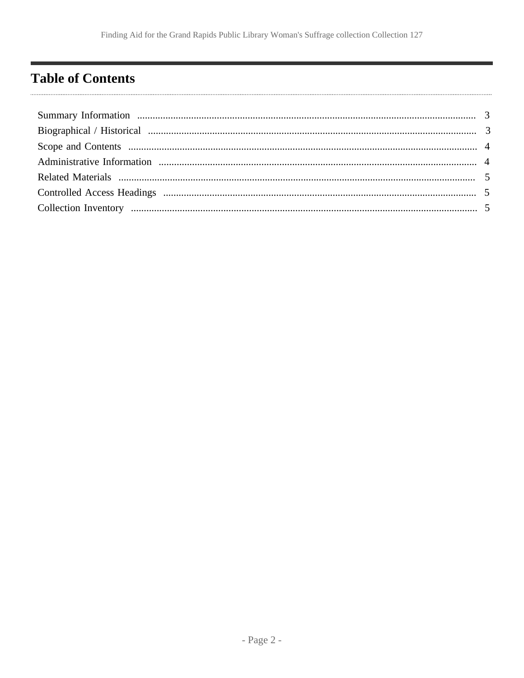# <span id="page-1-0"></span>**Table of Contents**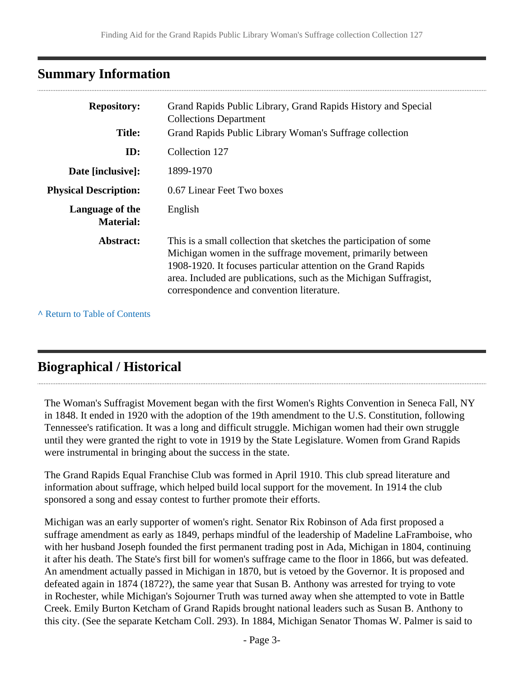# <span id="page-2-0"></span>**Summary Information**

| <b>Repository:</b>                  | Grand Rapids Public Library, Grand Rapids History and Special<br><b>Collections Department</b>                                                                                                                                                                                                                       |
|-------------------------------------|----------------------------------------------------------------------------------------------------------------------------------------------------------------------------------------------------------------------------------------------------------------------------------------------------------------------|
| <b>Title:</b>                       | Grand Rapids Public Library Woman's Suffrage collection                                                                                                                                                                                                                                                              |
| ID:                                 | Collection 127                                                                                                                                                                                                                                                                                                       |
| Date [inclusive]:                   | 1899-1970                                                                                                                                                                                                                                                                                                            |
| <b>Physical Description:</b>        | 0.67 Linear Feet Two boxes                                                                                                                                                                                                                                                                                           |
| Language of the<br><b>Material:</b> | English                                                                                                                                                                                                                                                                                                              |
| Abstract:                           | This is a small collection that sketches the participation of some<br>Michigan women in the suffrage movement, primarily between<br>1908-1920. It focuses particular attention on the Grand Rapids<br>area. Included are publications, such as the Michigan Suffragist,<br>correspondence and convention literature. |

**^** [Return to Table of Contents](#page-1-0)

# <span id="page-2-1"></span>**Biographical / Historical**

The Woman's Suffragist Movement began with the first Women's Rights Convention in Seneca Fall, NY in 1848. It ended in 1920 with the adoption of the 19th amendment to the U.S. Constitution, following Tennessee's ratification. It was a long and difficult struggle. Michigan women had their own struggle until they were granted the right to vote in 1919 by the State Legislature. Women from Grand Rapids were instrumental in bringing about the success in the state.

The Grand Rapids Equal Franchise Club was formed in April 1910. This club spread literature and information about suffrage, which helped build local support for the movement. In 1914 the club sponsored a song and essay contest to further promote their efforts.

Michigan was an early supporter of women's right. Senator Rix Robinson of Ada first proposed a suffrage amendment as early as 1849, perhaps mindful of the leadership of Madeline LaFramboise, who with her husband Joseph founded the first permanent trading post in Ada, Michigan in 1804, continuing it after his death. The State's first bill for women's suffrage came to the floor in 1866, but was defeated. An amendment actually passed in Michigan in 1870, but is vetoed by the Governor. It is proposed and defeated again in 1874 (1872?), the same year that Susan B. Anthony was arrested for trying to vote in Rochester, while Michigan's Sojourner Truth was turned away when she attempted to vote in Battle Creek. Emily Burton Ketcham of Grand Rapids brought national leaders such as Susan B. Anthony to this city. (See the separate Ketcham Coll. 293). In 1884, Michigan Senator Thomas W. Palmer is said to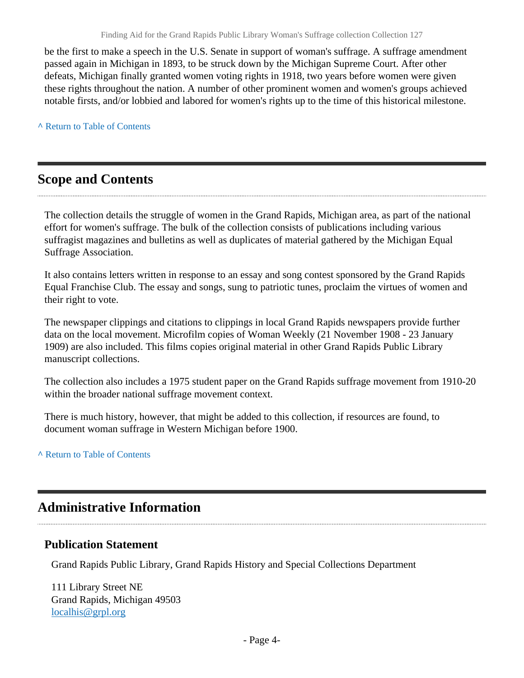be the first to make a speech in the U.S. Senate in support of woman's suffrage. A suffrage amendment passed again in Michigan in 1893, to be struck down by the Michigan Supreme Court. After other defeats, Michigan finally granted women voting rights in 1918, two years before women were given these rights throughout the nation. A number of other prominent women and women's groups achieved notable firsts, and/or lobbied and labored for women's rights up to the time of this historical milestone.

**^** [Return to Table of Contents](#page-1-0)

# <span id="page-3-0"></span>**Scope and Contents**

The collection details the struggle of women in the Grand Rapids, Michigan area, as part of the national effort for women's suffrage. The bulk of the collection consists of publications including various suffragist magazines and bulletins as well as duplicates of material gathered by the Michigan Equal Suffrage Association.

It also contains letters written in response to an essay and song contest sponsored by the Grand Rapids Equal Franchise Club. The essay and songs, sung to patriotic tunes, proclaim the virtues of women and their right to vote.

The newspaper clippings and citations to clippings in local Grand Rapids newspapers provide further data on the local movement. Microfilm copies of Woman Weekly (21 November 1908 - 23 January 1909) are also included. This films copies original material in other Grand Rapids Public Library manuscript collections.

The collection also includes a 1975 student paper on the Grand Rapids suffrage movement from 1910-20 within the broader national suffrage movement context.

There is much history, however, that might be added to this collection, if resources are found, to document woman suffrage in Western Michigan before 1900.

#### **^** [Return to Table of Contents](#page-1-0)

# <span id="page-3-1"></span>**Administrative Information**

#### **Publication Statement**

Grand Rapids Public Library, Grand Rapids History and Special Collections Department

111 Library Street NE Grand Rapids, Michigan 49503 [localhis@grpl.org](mailto:localhis@grpl.org)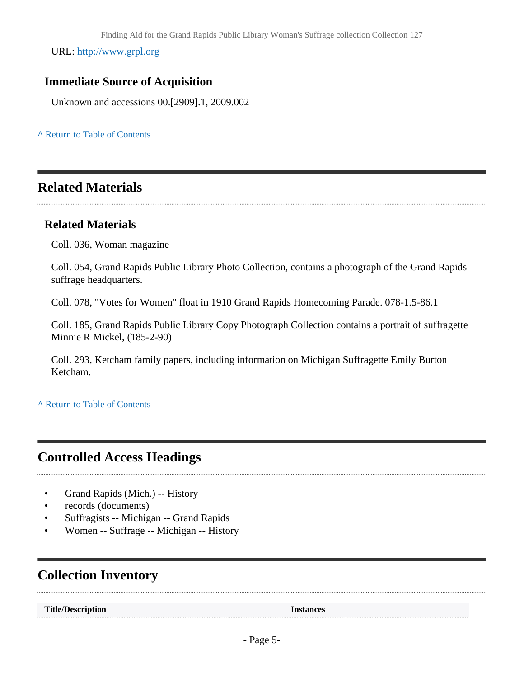URL:<http://www.grpl.org>

### **Immediate Source of Acquisition**

Unknown and accessions 00.[2909].1, 2009.002

**^** [Return to Table of Contents](#page-1-0)

# <span id="page-4-0"></span>**Related Materials**

#### **Related Materials**

Coll. 036, Woman magazine

Coll. 054, Grand Rapids Public Library Photo Collection, contains a photograph of the Grand Rapids suffrage headquarters.

Coll. 078, "Votes for Women" float in 1910 Grand Rapids Homecoming Parade. 078-1.5-86.1

Coll. 185, Grand Rapids Public Library Copy Photograph Collection contains a portrait of suffragette Minnie R Mickel, (185-2-90)

Coll. 293, Ketcham family papers, including information on Michigan Suffragette Emily Burton Ketcham.

**^** [Return to Table of Contents](#page-1-0)

# <span id="page-4-1"></span>**Controlled Access Headings**

- Grand Rapids (Mich.) -- History
- records (documents)
- Suffragists -- Michigan -- Grand Rapids
- Women -- Suffrage -- Michigan -- History

# <span id="page-4-2"></span>**Collection Inventory**

**Title/Description Instances**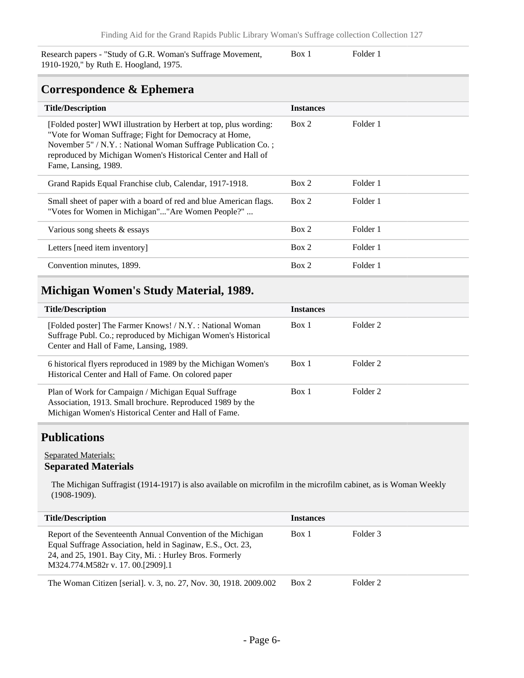Research papers - "Study of G.R. Woman's Suffrage Movement, 1910-1920," by Ruth E. Hoogland, 1975.

Box 1 Folder 1

### **Correspondence & Ephemera**

| <b>Title/Description</b>                                                                                                                                                                                                                                                             | <b>Instances</b> |          |
|--------------------------------------------------------------------------------------------------------------------------------------------------------------------------------------------------------------------------------------------------------------------------------------|------------------|----------|
| [Folded poster] WWI illustration by Herbert at top, plus wording:<br>"Vote for Woman Suffrage; Fight for Democracy at Home,<br>November 5" / N.Y. : National Woman Suffrage Publication Co.;<br>reproduced by Michigan Women's Historical Center and Hall of<br>Fame, Lansing, 1989. | Box 2            | Folder 1 |
| Grand Rapids Equal Franchise club, Calendar, 1917-1918.                                                                                                                                                                                                                              | Box 2            | Folder 1 |
| Small sheet of paper with a board of red and blue American flags.<br>"Votes for Women in Michigan""Are Women People?"                                                                                                                                                                | Box 2            | Folder 1 |
| Various song sheets $&$ essays                                                                                                                                                                                                                                                       | Box 2            | Folder 1 |
| Letters [need item inventory]                                                                                                                                                                                                                                                        | Box 2            | Folder 1 |
| Convention minutes, 1899.                                                                                                                                                                                                                                                            | Box 2            | Folder 1 |

### **Michigan Women's Study Material, 1989.**

| <b>Title/Description</b>                                                                                                                                                 | <b>Instances</b> |          |
|--------------------------------------------------------------------------------------------------------------------------------------------------------------------------|------------------|----------|
| [Folded poster] The Farmer Knows! / N.Y. : National Woman<br>Suffrage Publ. Co.; reproduced by Michigan Women's Historical<br>Center and Hall of Fame, Lansing, 1989.    | Box 1            | Folder 2 |
| 6 historical flyers reproduced in 1989 by the Michigan Women's<br>Historical Center and Hall of Fame. On colored paper                                                   | Box 1            | Folder 2 |
| Plan of Work for Campaign / Michigan Equal Suffrage<br>Association, 1913. Small brochure. Reproduced 1989 by the<br>Michigan Women's Historical Center and Hall of Fame. | Box 1            | Folder 2 |

# **Publications**

#### Separated Materials: **Separated Materials**

The Michigan Suffragist (1914-1917) is also available on microfilm in the microfilm cabinet, as is Woman Weekly (1908-1909).

| <b>Title/Description</b>                                                                                                                                                                                                  | <b>Instances</b> |          |
|---------------------------------------------------------------------------------------------------------------------------------------------------------------------------------------------------------------------------|------------------|----------|
| Report of the Seventeenth Annual Convention of the Michigan<br>Equal Suffrage Association, held in Saginaw, E.S., Oct. 23,<br>24, and 25, 1901. Bay City, Mi.: Hurley Bros. Formerly<br>M324.774.M582r v. 17. 00.[2909].1 | Box 1            | Folder 3 |
| The Woman Citizen [serial]. v. 3, no. 27, Nov. 30, 1918. 2009.002                                                                                                                                                         | Box 2            | Folder 2 |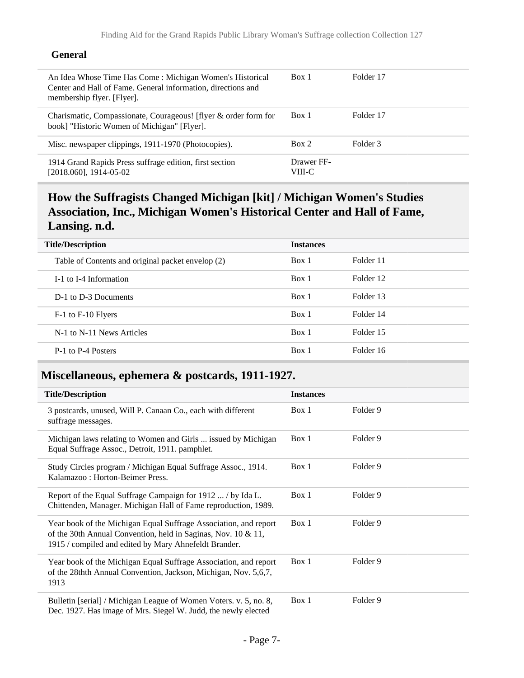#### **General**

| An Idea Whose Time Has Come: Michigan Women's Historical<br>Center and Hall of Fame. General information, directions and<br>membership flyer. [Flyer]. | Box 1                | Folder 17 |
|--------------------------------------------------------------------------------------------------------------------------------------------------------|----------------------|-----------|
| Charismatic, Compassionate, Courageous! [flyer & order form for<br>book] "Historic Women of Michigan" [Flyer].                                         | Box 1                | Folder 17 |
| Misc. newspaper clippings, 1911-1970 (Photocopies).                                                                                                    | Box 2                | Folder 3  |
| 1914 Grand Rapids Press suffrage edition, first section<br>[2018.060], 1914-05-02                                                                      | Drawer FF-<br>VIII-C |           |

# **How the Suffragists Changed Michigan [kit] / Michigan Women's Studies Association, Inc., Michigan Women's Historical Center and Hall of Fame, Lansing. n.d.**

| <b>Title/Description</b>                          | <b>Instances</b> |           |
|---------------------------------------------------|------------------|-----------|
| Table of Contents and original packet envelop (2) | Box 1            | Folder 11 |
| I-1 to I-4 Information                            | Box 1            | Folder 12 |
| D-1 to D-3 Documents                              | Box 1            | Folder 13 |
| F-1 to F-10 Flyers                                | Box 1            | Folder 14 |
| N-1 to N-11 News Articles                         | Box 1            | Folder 15 |
| P-1 to P-4 Posters                                | Box 1            | Folder 16 |
|                                                   |                  |           |

# **Miscellaneous, ephemera & postcards, 1911-1927.**

| <b>Title/Description</b>                                                                                                                                                                   | <b>Instances</b> |          |
|--------------------------------------------------------------------------------------------------------------------------------------------------------------------------------------------|------------------|----------|
| 3 postcards, unused, Will P. Canaan Co., each with different<br>suffrage messages.                                                                                                         | Box 1            | Folder 9 |
| Michigan laws relating to Women and Girls  issued by Michigan<br>Equal Suffrage Assoc., Detroit, 1911. pamphlet.                                                                           | Box 1            | Folder 9 |
| Study Circles program / Michigan Equal Suffrage Assoc., 1914.<br>Kalamazoo: Horton-Beimer Press.                                                                                           | Box 1            | Folder 9 |
| Report of the Equal Suffrage Campaign for 1912  / by Ida L.<br>Chittenden, Manager. Michigan Hall of Fame reproduction, 1989.                                                              | Box 1            | Folder 9 |
| Year book of the Michigan Equal Suffrage Association, and report<br>of the 30th Annual Convention, held in Saginas, Nov. 10 & 11,<br>1915 / compiled and edited by Mary Ahnefeldt Brander. | Box 1            | Folder 9 |
| Year book of the Michigan Equal Suffrage Association, and report<br>of the 28thth Annual Convention, Jackson, Michigan, Nov. 5,6,7,<br>1913                                                | Box 1            | Folder 9 |
| Bulletin [serial] / Michigan League of Women Voters. v. 5, no. 8,<br>Dec. 1927. Has image of Mrs. Siegel W. Judd, the newly elected                                                        | Box 1            | Folder 9 |